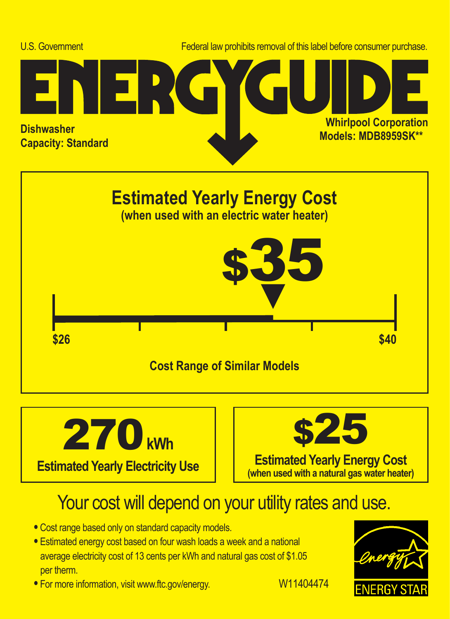





## Your cost will depend on your utility rates and use.

- **•** Cost range based only on standard capacity models.
- **•** Estimated energy cost based on four wash loads a week and a national average electricity cost of 13 cents per kWh and natural gas cost of \$1.05 per therm.
- For more information, visit www.ftc.gov/energy. W11404474